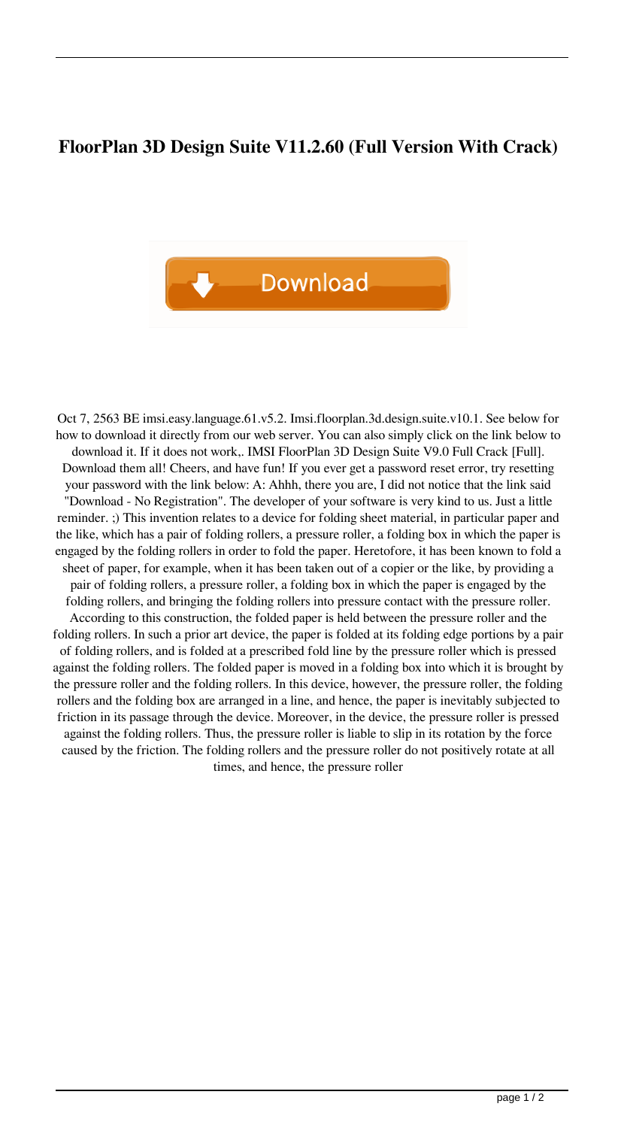## **FloorPlan 3D Design Suite V11.2.60 (Full Version With Crack)**



Oct 7, 2563 BE imsi.easy.language.61.v5.2. Imsi.floorplan.3d.design.suite.v10.1. See below for how to download it directly from our web server. You can also simply click on the link below to download it. If it does not work,. IMSI FloorPlan 3D Design Suite V9.0 Full Crack [Full]. Download them all! Cheers, and have fun! If you ever get a password reset error, try resetting your password with the link below: A: Ahhh, there you are, I did not notice that the link said "Download - No Registration". The developer of your software is very kind to us. Just a little reminder. ;) This invention relates to a device for folding sheet material, in particular paper and the like, which has a pair of folding rollers, a pressure roller, a folding box in which the paper is engaged by the folding rollers in order to fold the paper. Heretofore, it has been known to fold a sheet of paper, for example, when it has been taken out of a copier or the like, by providing a pair of folding rollers, a pressure roller, a folding box in which the paper is engaged by the folding rollers, and bringing the folding rollers into pressure contact with the pressure roller. According to this construction, the folded paper is held between the pressure roller and the folding rollers. In such a prior art device, the paper is folded at its folding edge portions by a pair of folding rollers, and is folded at a prescribed fold line by the pressure roller which is pressed against the folding rollers. The folded paper is moved in a folding box into which it is brought by the pressure roller and the folding rollers. In this device, however, the pressure roller, the folding rollers and the folding box are arranged in a line, and hence, the paper is inevitably subjected to friction in its passage through the device. Moreover, in the device, the pressure roller is pressed against the folding rollers. Thus, the pressure roller is liable to slip in its rotation by the force caused by the friction. The folding rollers and the pressure roller do not positively rotate at all times, and hence, the pressure roller